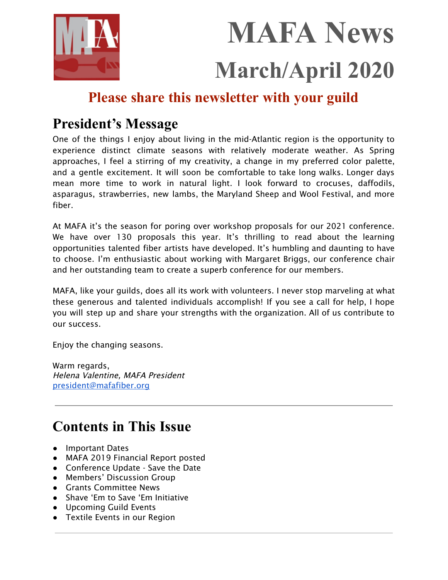

# **MAFA News March/April 2020**

# **Please share this newsletter with your guild**

# **President's Message**

One of the things I enjoy about living in the mid-Atlantic region is the opportunity to experience distinct climate seasons with relatively moderate weather. As Spring approaches, I feel a stirring of my creativity, a change in my preferred color palette, and a gentle excitement. It will soon be comfortable to take long walks. Longer days mean more time to work in natural light. I look forward to crocuses, daffodils, asparagus, strawberries, new lambs, the Maryland Sheep and Wool Festival, and more fiber.

At MAFA it's the season for poring over workshop proposals for our 2021 conference. We have over 130 proposals this year. It's thrilling to read about the learning opportunities talented fiber artists have developed. It's humbling and daunting to have to choose. I'm enthusiastic about working with Margaret Briggs, our conference chair and her outstanding team to create a superb conference for our members.

MAFA, like your guilds, does all its work with volunteers. I never stop marveling at what these generous and talented individuals accomplish! If you see a call for help, I hope you will step up and share your strengths with the organization. All of us contribute to our success.

Enjoy the changing seasons.

Warm regards, Helena Valentine, MAFA President [president@mafafiber.org](mailto:president@mafafiber.org)

# **Contents in This Issue**

- Important Dates
- MAFA 2019 Financial Report posted
- Conference Update Save the Date
- Members' Discussion Group
- Grants Committee News
- Shave 'Em to Save 'Em Initiative
- Upcoming Guild Events
- Textile Events in our Region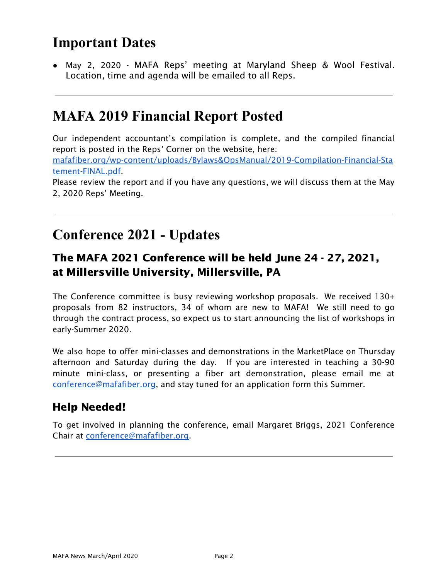# **Important Dates**

● May 2, 2020 - MAFA Reps' meeting at Maryland Sheep & Wool Festival. Location, time and agenda will be emailed to all Reps.

## **MAFA 2019 Financial Report Posted**

Our independent accountant's compilation is complete, and the compiled financial report is posted in the Reps' Corner on the website, here: [mafafiber.org/wp-content/uploads/Bylaws&OpsManual/2019-Compilation-Financial-Sta](https://mafafiber.org/wp-content/uploads/Bylaws&OpsManual/2019-Compilation-Financial-Statement-FINAL.pdf) [tement-FINAL.pdf](https://mafafiber.org/wp-content/uploads/Bylaws&OpsManual/2019-Compilation-Financial-Statement-FINAL.pdf).

Please review the report and if you have any questions, we will discuss them at the May 2, 2020 Reps' Meeting.

## **Conference 2021 - Updates**

### The MAFA 2021 Conference will be held June 24 - 27, 2021, at Millersville University, Millersville, PA

The Conference committee is busy reviewing workshop proposals. We received 130+ proposals from 82 instructors, 34 of whom are new to MAFA! We still need to go through the contract process, so expect us to start announcing the list of workshops in early-Summer 2020.

We also hope to offer mini-classes and demonstrations in the MarketPlace on Thursday afternoon and Saturday during the day. If you are interested in teaching a 30-90 minute mini-class, or presenting a fiber art demonstration, please email me at [conference@mafafiber.org,](mailto:conference@mafafiber.org) and stay tuned for an application form this Summer.

### Help Needed!

To get involved in planning the conference, email Margaret Briggs, 2021 Conference Chair at [conference@mafafiber.org](mailto:conference@mafafiber.org).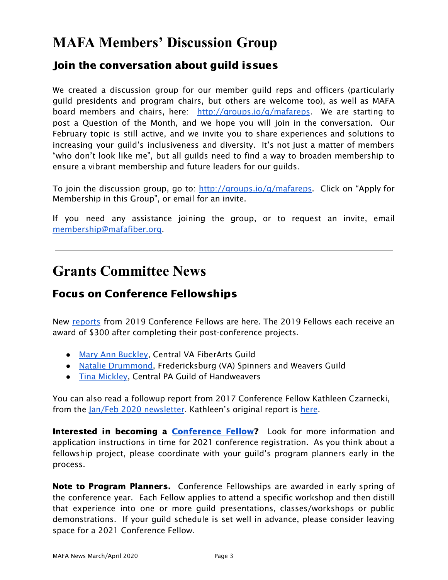# **MAFA Members' Discussion Group**

### Join the conversation about guild issues

We created a discussion group for our member guild reps and officers (particularly guild presidents and program chairs, but others are welcome too), as well as MAFA board members and chairs, here: [http://groups.io/g/mafareps.](http://groups.io/g/mafareps) We are starting to post a Question of the Month, and we hope you will join in the conversation. Our February topic is still active, and we invite you to share experiences and solutions to increasing your guild's inclusiveness and diversity. It's not just a matter of members "who don't look like me", but all guilds need to find a way to broaden membership to ensure a vibrant membership and future leaders for our guilds.

To join the discussion group, go to: <http://groups.io/g/mafareps>. Click on "Apply for Membership in this Group", or email for an invite.

If you need any assistance joining the group, or to request an invite, email [membership@mafafiber.org.](mailto:membership@mafafiber.org)

### **Grants Committee News**

### Focus on Conference Fellowships

New [reports](https://mafafiber.org/grants/fellowships/fellowship-awards/) from 2019 Conference Fellows are here. The 2019 Fellows each receive an award of \$300 after completing their post-conference projects.

- Mary Ann [Buckley](https://mafafiber.org/wp-content/uploads/2019/12/Grants/FellowshipReports/2019_Buckley.pdf), Central VA FiberArts Guild
- Natalie [Drummond,](https://mafafiber.org/wp-content/uploads/2019/12/Grants/FellowshipReports/2019_Drummond.pdf) Fredericksburg (VA) Spinners and Weavers Guild
- Tina [Mickley](https://mafafiber.org/wp-content/uploads/2020/01/Grants/FellowshipReports/2019_Mickley.pdf), Central PA Guild of Handweavers

You can also read a followup report from 2017 Conference Fellow Kathleen Czarnecki, from the Jan/Feb 2020 [newsletter](https://mafafiber.org/wp-content/uploads/Reps-News/MAFA-News-2020-01-02.pdf). Kathleen's original report is [here](https://mafafiber.org/wp-content/uploads/2019/01/Grants/FellowshipReports/2017_czarnecki.pdf).

Interested in becoming a [Conference](https://mafafiber.org/grants/fellowships/) Fellow? Look for more information and application instructions in time for 2021 conference registration. As you think about a fellowship project, please coordinate with your guild's program planners early in the process.

Note to Program Planners. Conference Fellowships are awarded in early spring of the conference year. Each Fellow applies to attend a specific workshop and then distill that experience into one or more guild presentations, classes/workshops or public demonstrations. If your guild schedule is set well in advance, please consider leaving space for a 2021 Conference Fellow.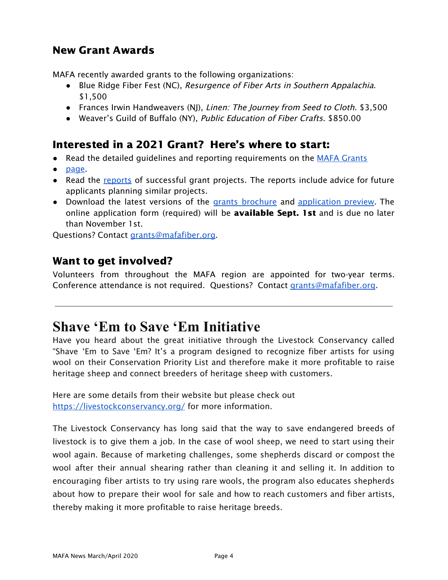### New Grant Awards

MAFA recently awarded grants to the following organizations:

- Blue Ridge Fiber Fest (NC), Resurgence of Fiber Arts in Southern Appalachia. \$1,500
- Frances Irwin Handweavers (NJ), *Linen: The Journey from Seed to Cloth*. \$3,500
- Weaver's Guild of Buffalo (NY), Public Education of Fiber Crafts. \$850.00

### Interested in a 2021 Grant? Here's where to start:

- Read the detailed quidelines and reporting requirements on the MAFA [Grants](https://mafafiber.org/grants/guild-grants/)
- [page.](https://mafafiber.org/grants/guild-grants/)
- Read the [reports](https://mafafiber.org/grants/guild-grants/grant-awards/) of successful grant projects. The reports include advice for future applicants planning similar projects.
- Download the latest versions of the grants [brochure](https://mafafiber.org/wp-content/uploads/Grants/Grants-Brochure_0619.pdf) and [application](https://mafafiber.org/wp-content/uploads/2019/08/Forms/MAFA-GRANT-APPLICATION-Preview.pdf) preview. The online application form (required) will be **available Sept. 1st** and is due no later than November 1st.

Questions? Contact [grants@mafafiber.org.](mailto:grants@mafafiber.org)

### Want to get involved?

Volunteers from throughout the MAFA region are appointed for two-year terms. Conference attendance is not required. Questions? Contact [grants@mafafiber.org](mailto:grants@mafafiber.org).

### **Shave 'Em to Save 'Em Initiative**

Have you heard about the great initiative through the Livestock Conservancy called "Shave 'Em to Save 'Em? It's a program designed to recognize fiber artists for using wool on their Conservation Priority List and therefore make it more profitable to raise heritage sheep and connect breeders of heritage sheep with customers.

Here are some details from their website but please check out <https://livestockconservancy.org/> for more information.

The Livestock Conservancy has long said that the way to save endangered breeds of livestock is to give them a job. In the case of wool sheep, we need to start using their wool again. Because of marketing challenges, some shepherds discard or compost the wool after their annual shearing rather than cleaning it and selling it. In addition to encouraging fiber artists to try using rare wools, the program also educates shepherds about how to prepare their wool for sale and how to reach customers and fiber artists, thereby making it more profitable to raise heritage breeds.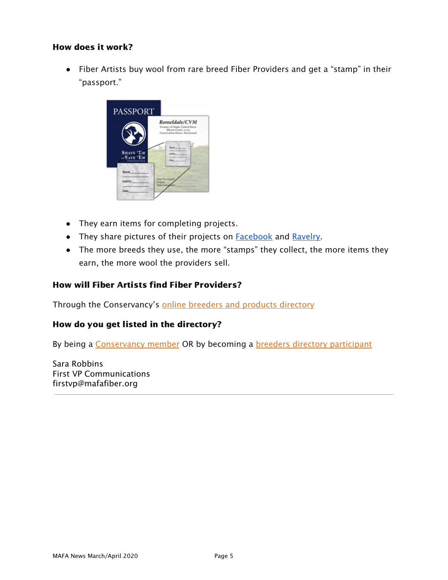### How does it work?

● Fiber Artists buy wool from rare breed Fiber Providers and get a "stamp" in their "passport."



- They earn items for completing projects.
- They share pictures of their projects on **[Facebook](https://www.facebook.com/groups/SE2SE/)** and **Ravelry**.
- The more breeds they use, the more "stamps" they collect, the more items they earn, the more wool the providers sell.

#### How will Fiber Artists find Fiber Providers?

Through the Conservancy's online breeders and products [directory](https://livestockconservancy.org/index.php/heritage/internal/breeders-directory)

#### How do you get listed in the directory?

By being a [Conservancy](https://livestockconservancy.org/index.php/involved/internal/membership) member OR by becoming a breeders directory [participant](http://livestockconservancy.org/index.php/heritage/internal/breeders-directory-participant)

Sara Robbins First VP Communications firstvp@mafafiber.org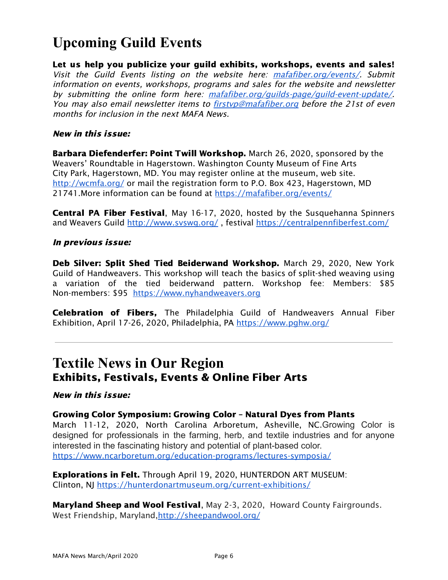# **Upcoming Guild Events**

Let us help you publicize your guild exhibits, workshops, events and sales! Visit the Guild Events listing on the website here: [mafafiber.org/events/](https://mafafiber.org/events/). Submit information on events, workshops, programs and sales for the website and newsletter by submitting the online form here: [mafafiber.org/guilds-page/guild-event-update/](https://mafafiber.org/guilds-page/guild-event-update/). You may also email newsletter items to firstyp@mafafiber.org before the 21st of even months for inclusion in the next MAFA News.

### New in this issue:

Barbara Diefenderfer: Point Twill Workshop. March 26, 2020, sponsored by the Weavers' Roundtable in Hagerstown. Washington County Museum of Fine Arts City Park, Hagerstown, MD. You may register online at the museum, web site. <http://wcmfa.org/> or mail the registration form to P.O. Box 423, Hagerstown, MD 21741.More information can be found at <https://mafafiber.org/events/>

Central PA Fiber Festival, May 16-17, 2020, hosted by the Susquehanna Spinners and Weavers Guild <http://www.svswg.org/>, festival <https://centralpennfiberfest.com/>

### In previous issue:

Deb Silver: Split Shed Tied Beiderwand Workshop. March 29, 2020, New York Guild of Handweavers. This workshop will teach the basics of split-shed weaving using a variation of the tied beiderwand pattern. Workshop fee: Members: \$85 Non-members: \$95 [https://www.nyhandweavers.org](https://www.nyhandweavers.org/)

Celebration of Fibers, The Philadelphia Guild of Handweavers Annual Fiber Exhibition, April 17-26, 2020, Philadelphia, PA <https://www.pghw.org/>

### **Textile News in Our Region** Exhibits, Festivals, Events & Online Fiber Arts

#### New in this issue:

#### Growing Color Symposium: Growing Color – Natural Dyes from Plants

March 11-12, 2020, North Carolina Arboretum, Asheville, NC.Growing Color is designed for professionals in the farming, herb, and textile industries and for anyone interested in the fascinating history and potential of plant-based color. <https://www.ncarboretum.org/education-programs/lectures-symposia/>

Explorations in Felt. Through April 19, 2020, HUNTERDON ART MUSEUM: Clinton, NJ <https://hunterdonartmuseum.org/current-exhibitions/>

Maryland Sheep and Wool Festival, May 2-3, 2020, Howard County Fairgrounds. West Friendship, Maryland,<http://sheepandwool.org/>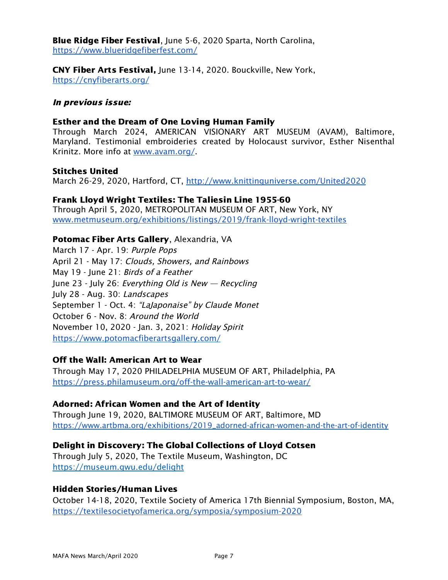Blue Ridge Fiber Festival, June 5-6, 2020 Sparta, North Carolina, <https://www.blueridgefiberfest.com/>

CNY Fiber Arts Festival, June 13-14, 2020. Bouckville, New York, <https://cnyfiberarts.org/>

### In previous issue:

#### Esther and the Dream of One Loving Human Family

Through March 2024, AMERICAN VISIONARY ART MUSEUM (AVAM), Baltimore, Maryland. Testimonial embroideries created by Holocaust survivor, Esther Nisenthal Krinitz. More info at [www.avam.org/](http://www.avam.org/).

#### Stitches United

March 26-29, 2020, Hartford, CT, <http://www.knittinguniverse.com/United2020>

### Frank Lloyd Wright Textiles: The Taliesin Line 1955-60

Through April 5, 2020, METROPOLITAN MUSEUM OF ART, New York, NY [www.metmuseum.org/exhibitions/listings/2019/frank-lloyd-wright-textiles](https://www.metmuseum.org/exhibitions/listings/2019/frank-lloyd-wright-textiles)

### Potomac Fiber Arts Gallery, Alexandria, VA

March 17 - Apr. 19: Purple Pops April 21 - May 17: Clouds, Showers, and Rainbows May 19 - June 21: Birds of <sup>a</sup> Feather June 23 - July 26: Everything Old is New  $-$  Recycling July 28 - Aug. 30: Landscapes September 1 - Oct. 4: "LaJaponaise" by Claude Monet October 6 - Nov. 8: Around the World November 10, 2020 - Jan. 3, 2021: Holiday Spirit <https://www.potomacfiberartsgallery.com/>

### Off the Wall: American Art to Wear

Through May 17, 2020 PHILADELPHIA MUSEUM OF ART, Philadelphia, PA <https://press.philamuseum.org/off-the-wall-american-art-to-wear/>

### Adorned: African Women and the Art of Identity

Through June 19, 2020, BALTIMORE MUSEUM OF ART, Baltimore, MD [https://www.artbma.org/exhibitions/2019\\_adorned-african-women-and-the-art-of-identity](https://www.artbma.org/exhibitions/2019_adorned-african-women-and-the-art-of-identity) 

### Delight in Discovery: The Global Collections of Lloyd Cotsen

Through July 5, 2020, The Textile Museum, Washington, DC https://museum.gwu.edu/delight

### Hidden Stories/Human Lives

October 14-18, 2020, Textile Society of America 17th Biennial Symposium, Boston, MA, <https://textilesocietyofamerica.org/symposia/symposium-2020>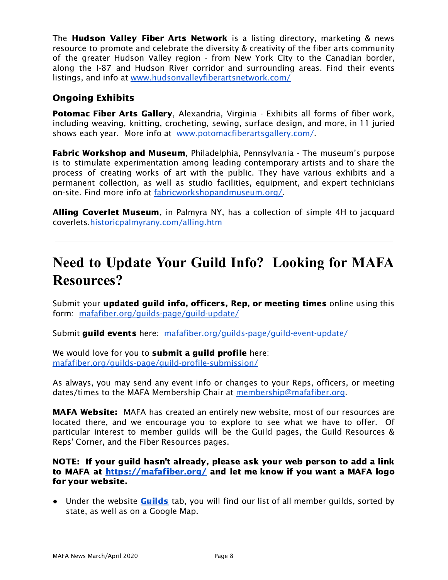The **Hudson Valley Fiber Arts Network** is a listing directory, marketing & news resource to promote and celebrate the diversity & creativity of the fiber arts community of the greater Hudson Valley region - from New York City to the Canadian border, along the I-87 and Hudson River corridor and surrounding areas. Find their events listings, and info at [www.hudsonvalleyfiberartsnetwork.com/](http://www.hudsonvalleyfiberartsnetwork.com/)

### Ongoing Exhibits

Potomac Fiber Arts Gallery, Alexandria, Virginia - Exhibits all forms of fiber work, including weaving, knitting, crocheting, sewing, surface design, and more, in 11 juried shows each year. More info at [www.potomacfiberartsgallery.com/](http://www.potomacfiberartsgallery.com/).

Fabric Workshop and Museum, Philadelphia, Pennsylvania - The museum's purpose is to stimulate experimentation among leading contemporary artists and to share the process of creating works of art with the public. They have various exhibits and a permanent collection, as well as studio facilities, equipment, and expert technicians on-site. Find more info at [fabricworkshopandmuseum.org/.](http://fabricworkshopandmuseum.org/)

Alling Coverlet Museum, in Palmyra NY, has a collection of simple 4H to jacquard coverlets[.historicpalmyrany.com/alling.htm](http://historicpalmyrany.com/alling.htm)

# **Need to Update Your Guild Info? Looking for MAFA Resources?**

Submit your **updated guild info, officers, Rep, or meeting times** online using this form: [mafafiber.org/guilds-page/guild-update/](http://mafafiber.org/guilds-page/guild-update/)

Submit guild events here: [mafafiber.org/guilds-page/guild-event-update/](http://mafafiber.org/guilds-page/guild-event-update/)

We would love for you to **submit a guild profile** here: [mafafiber.org/guilds-page/guild-profile-submission/](https://mafafiber.org/guilds-page/guild-profile-submission/)

As always, you may send any event info or changes to your Reps, officers, or meeting dates/times to the MAFA Membership Chair at [membership@mafafiber.org.](mailto:membership@mafafiber.org)

**MAFA Website:** MAFA has created an entirely new website, most of our resources are located there, and we encourage you to explore to see what we have to offer. Of particular interest to member guilds will be the Guild pages, the Guild Resources & Reps' Corner, and the Fiber Resources pages.

NOTE: If your guild hasn't already, please ask your web person to add a link to MAFA at <https://mafafiber.org/> and let me know if you want a MAFA logo for your website.

• Under the website **[Guilds](https://mafafiber.org/guilds-page/)** tab, you will find our list of all member guilds, sorted by state, as well as on a Google Map.